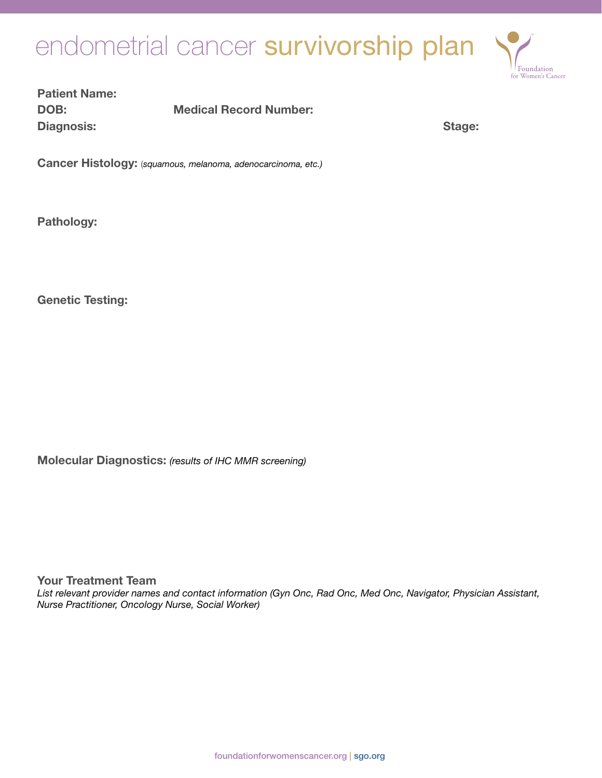# endometrial cancer survivorship plan



## Patient Name: DOB: Medical Record Number: Diagnosis: Stage: Stage: Stage: Stage: Stage: Stage: Stage: Stage: Stage: Stage: Stage: Stage: Stage: Stage: Stage: Stage: Stage: Stage: Stage: Stage: Stage: Stage: Stage: Stage: Stage: Stage: Stage: Stage: Stage: Stage: S

Cancer Histology: (*squamous, melanoma, adenocarcinoma, etc.)*

Pathology:

Genetic Testing:

Molecular Diagnostics: *(results of IHC MMR screening)*

Your Treatment Team

*List relevant provider names and contact information (Gyn Onc, Rad Onc, Med Onc, Navigator, Physician Assistant, Nurse Practitioner, Oncology Nurse, Social Worker)*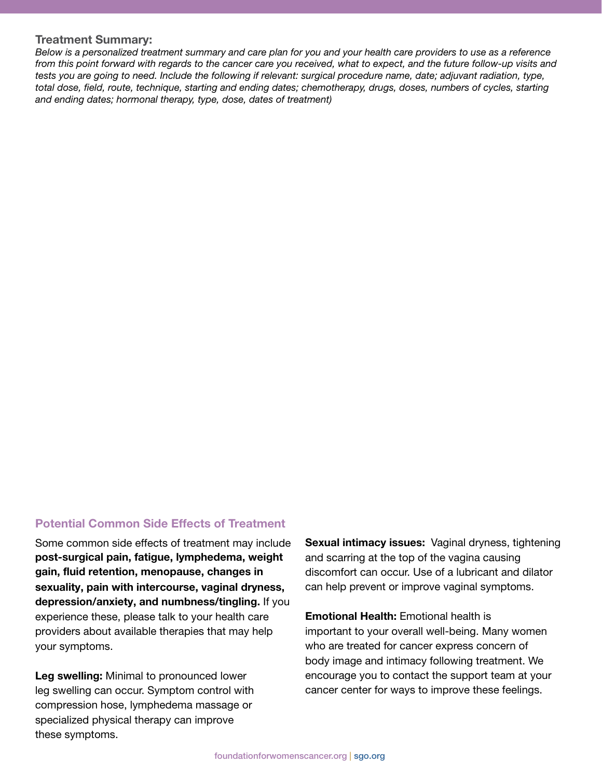#### Treatment Summary:

*Below is a personalized treatment summary and care plan for you and your health care providers to use as a reference from this point forward with regards to the cancer care you received, what to expect, and the future follow-up visits and tests you are going to need. Include the following if relevant: surgical procedure name, date; adjuvant radiation, type, total dose, field, route, technique, starting and ending dates; chemotherapy, drugs, doses, numbers of cycles, starting and ending dates; hormonal therapy, type, dose, dates of treatment)*

## Potential Common Side Effects of Treatment

Some common side effects of treatment may include post-surgical pain, fatigue, lymphedema, weight gain, fluid retention, menopause, changes in sexuality, pain with intercourse, vaginal dryness, depression/anxiety, and numbness/tingling. If you experience these, please talk to your health care providers about available therapies that may help your symptoms.

Leg swelling: Minimal to pronounced lower leg swelling can occur. Symptom control with compression hose, lymphedema massage or specialized physical therapy can improve these symptoms.

Sexual intimacy issues: Vaginal dryness, tightening and scarring at the top of the vagina causing discomfort can occur. Use of a lubricant and dilator can help prevent or improve vaginal symptoms.

Emotional Health: Emotional health is important to your overall well-being. Many women who are treated for cancer express concern of body image and intimacy following treatment. We encourage you to contact the support team at your cancer center for ways to improve these feelings.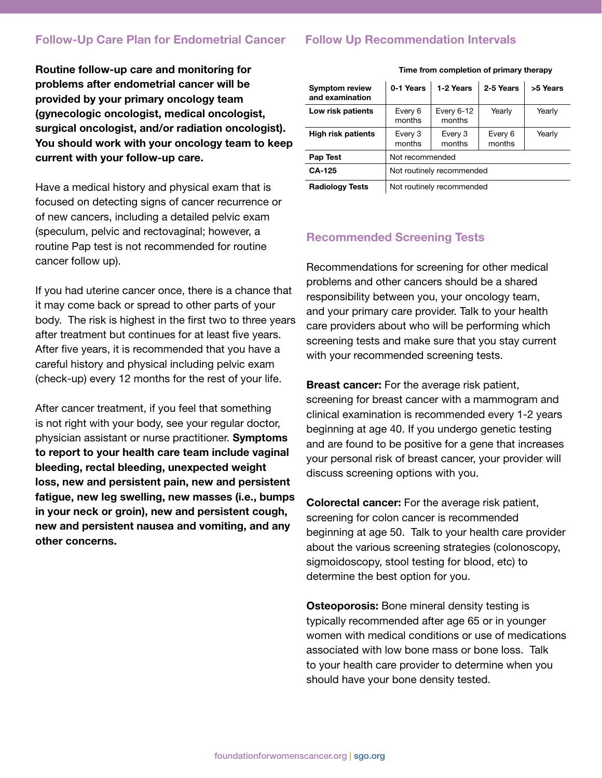## Follow-Up Care Plan for Endometrial Cancer

## Follow Up Recommendation Intervals

Routine follow-up care and monitoring for problems after endometrial cancer will be provided by your primary oncology team (gynecologic oncologist, medical oncologist, surgical oncologist, and/or radiation oncologist). You should work with your oncology team to keep current with your follow-up care.

Have a medical history and physical exam that is focused on detecting signs of cancer recurrence or of new cancers, including a detailed pelvic exam (speculum, pelvic and rectovaginal; however, a routine Pap test is not recommended for routine cancer follow up).

If you had uterine cancer once, there is a chance that it may come back or spread to other parts of your body. The risk is highest in the first two to three years after treatment but continues for at least five years. After five years, it is recommended that you have a careful history and physical including pelvic exam (check-up) every 12 months for the rest of your life.

After cancer treatment, if you feel that something is not right with your body, see your regular doctor, physician assistant or nurse practitioner. Symptoms to report to your health care team include vaginal bleeding, rectal bleeding, unexpected weight loss, new and persistent pain, new and persistent fatigue, new leg swelling, new masses (i.e., bumps in your neck or groin), new and persistent cough, new and persistent nausea and vomiting, and any other concerns.

| <b>Symptom review</b><br>and examination | 0-1 Years                 | 1-2 Years              | 2-5 Years         | >5 Years |
|------------------------------------------|---------------------------|------------------------|-------------------|----------|
| Low risk patients                        | Every 6<br>months         | Every $6-12$<br>months | Yearly            | Yearly   |
| <b>High risk patients</b>                | Every 3<br>months         | Every 3<br>months      | Every 6<br>months | Yearly   |
| Pap Test                                 | Not recommended           |                        |                   |          |
| <b>CA-125</b>                            | Not routinely recommended |                        |                   |          |
| <b>Radiology Tests</b>                   | Not routinely recommended |                        |                   |          |

Time from completion of primary therapy

Recommended Screening Tests

Recommendations for screening for other medical problems and other cancers should be a shared responsibility between you, your oncology team, and your primary care provider. Talk to your health care providers about who will be performing which screening tests and make sure that you stay current with your recommended screening tests.

**Breast cancer:** For the average risk patient, screening for breast cancer with a mammogram and clinical examination is recommended every 1-2 years beginning at age 40. If you undergo genetic testing and are found to be positive for a gene that increases your personal risk of breast cancer, your provider will discuss screening options with you.

Colorectal cancer: For the average risk patient, screening for colon cancer is recommended beginning at age 50. Talk to your health care provider about the various screening strategies (colonoscopy, sigmoidoscopy, stool testing for blood, etc) to determine the best option for you.

**Osteoporosis:** Bone mineral density testing is typically recommended after age 65 or in younger women with medical conditions or use of medications associated with low bone mass or bone loss. Talk to your health care provider to determine when you should have your bone density tested.